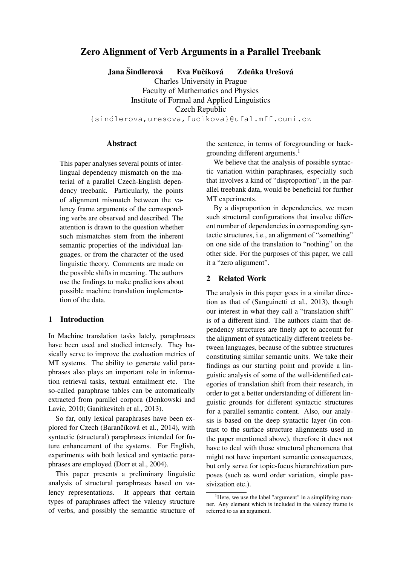# Zero Alignment of Verb Arguments in a Parallel Treebank

Jana Šindlerová → Eva Fučíková → Zdeňka Urešová

Charles University in Prague Faculty of Mathematics and Physics Institute of Formal and Applied Linguistics Czech Republic

{sindlerova,uresova,fucikova}@ufal.mff.cuni.cz

### Abstract

This paper analyses several points of interlingual dependency mismatch on the material of a parallel Czech-English dependency treebank. Particularly, the points of alignment mismatch between the valency frame arguments of the corresponding verbs are observed and described. The attention is drawn to the question whether such mismatches stem from the inherent semantic properties of the individual languages, or from the character of the used linguistic theory. Comments are made on the possible shifts in meaning. The authors use the findings to make predictions about possible machine translation implementation of the data.

### 1 Introduction

In Machine translation tasks lately, paraphrases have been used and studied intensely. They basically serve to improve the evaluation metrics of MT systems. The ability to generate valid paraphrases also plays an important role in information retrieval tasks, textual entailment etc. The so-called paraphrase tables can be automatically extracted from parallel corpora (Denkowski and Lavie, 2010; Ganitkevitch et al., 2013).

So far, only lexical paraphrases have been explored for Czech (Barančíková et al., 2014), with syntactic (structural) paraphrases intended for future enhancement of the systems. For English, experiments with both lexical and syntactic paraphrases are employed (Dorr et al., 2004).

This paper presents a preliminary linguistic analysis of structural paraphrases based on valency representations. It appears that certain types of paraphrases affect the valency structure of verbs, and possibly the semantic structure of the sentence, in terms of foregrounding or backgrounding different arguments.<sup>1</sup>

We believe that the analysis of possible syntactic variation within paraphrases, especially such that involves a kind of "disproportion", in the parallel treebank data, would be beneficial for further MT experiments.

By a disproportion in dependencies, we mean such structural configurations that involve different number of dependencies in corresponding syntactic structures, i.e., an alignment of "something" on one side of the translation to "nothing" on the other side. For the purposes of this paper, we call it a "zero alignment".

### 2 Related Work

The analysis in this paper goes in a similar direction as that of (Sanguinetti et al., 2013), though our interest in what they call a "translation shift" is of a different kind. The authors claim that dependency structures are finely apt to account for the alignment of syntactically different treelets between languages, because of the subtree structures constituting similar semantic units. We take their findings as our starting point and provide a linguistic analysis of some of the well-identified categories of translation shift from their research, in order to get a better understanding of different linguistic grounds for different syntactic structures for a parallel semantic content. Also, our analysis is based on the deep syntactic layer (in contrast to the surface structure alignments used in the paper mentioned above), therefore it does not have to deal with those structural phenomena that might not have important semantic consequences, but only serve for topic-focus hierarchization purposes (such as word order variation, simple passivization etc.).

<sup>&</sup>lt;sup>1</sup>Here, we use the label "argument" in a simplifying manner. Any element which is included in the valency frame is referred to as an argument.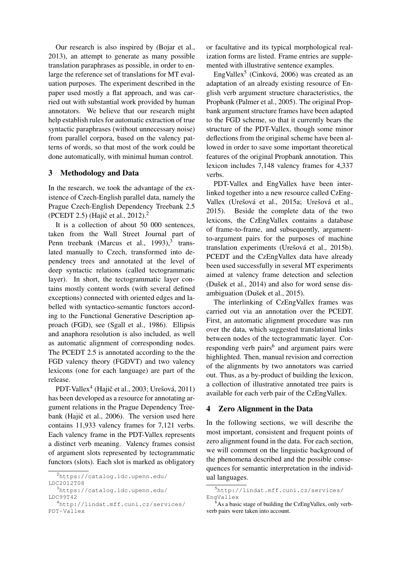Our research is also inspired by (Bojar et al., 2013), an attempt to generate as many possible translation paraphrases as possible, in order to enlarge the reference set of translations for MT evaluation purposes. The experiment described in the paper used mostly a flat approach, and was carried out with substantial work provided by human annotators. We believe that our research might help establish rules for automatic extraction of true syntactic paraphrases (without unnecessary noise) from parallel corpora, based on the valency patterns of words, so that most of the work could be done automatically, with minimal human control.

## 3 Methodology and Data

In the research, we took the advantage of the existence of Czech-English parallel data, namely the Prague Czech-English Dependency Treebank 2.5 (PCEDT 2.5) (Hajič et al., 2012).<sup>2</sup>

It is a collection of about 50 000 sentences, taken from the Wall Street Journal part of Penn treebank (Marcus et al.,  $1993$ ),<sup>3</sup> translated manually to Czech, transformed into dependency trees and annotated at the level of deep syntactic relations (called tectogrammatic layer). In short, the tectogrammatic layer contains mostly content words (with several defined exceptions) connected with oriented edges and labelled with syntactico-semantic functors according to the Functional Generative Description approach (FGD), see (Sgall et al., 1986). Ellipsis and anaphora resolution is also included, as well as automatic alignment of corresponding nodes. The PCEDT 2.5 is annotated according to the the FGD valency theory (FGDVT) and two valency lexicons (one for each language) are part of the release.

PDT-Vallex<sup>4</sup> (Hajič et al., 2003; Urešová, 2011) has been developed as a resource for annotating argument relations in the Prague Dependency Treebank (Hajič et al., 2006). The version used here contains 11,933 valency frames for 7,121 verbs. Each valency frame in the PDT-Vallex represents a distinct verb meaning. Valency frames consist of argument slots represented by tectogrammatic functors (slots). Each slot is marked as obligatory

<sup>3</sup>https://catalog.ldc.upenn.edu/ LDC99T42

or facultative and its typical morphological realization forms are listed. Frame entries are supplemented with illustrative sentence examples.

EngVallex<sup>5</sup> (Cinková, 2006) was created as an adaptation of an already existing resource of English verb argument structure characteristics, the Propbank (Palmer et al., 2005). The original Propbank argument structure frames have been adapted to the FGD scheme, so that it currently bears the structure of the PDT-Vallex, though some minor deflections from the original scheme have been allowed in order to save some important theoretical features of the original Propbank annotation. This lexicon includes 7,148 valency frames for 4,337 verbs.

PDT-Vallex and EngVallex have been interlinked together into a new resource called CzEng-Vallex (Urešová et al., 2015a; Urešová et al., 2015). Beside the complete data of the two lexicons, the CzEngVallex contains a database of frame-to-frame, and subsequently, argumentto-argument pairs for the purposes of machine translation experiments (Urešová et al., 2015b). PCEDT and the CzEngVallex data have already been used successfully in several MT experiments aimed at valency frame detection and selection (Dušek et al., 2014) and also for word sense disambiguation (Dušek et al., 2015).

The interlinking of CzEngVallex frames was carried out via an annotation over the PCEDT. First, an automatic alignment procedure was run over the data, which suggested translational links between nodes of the tectogrammatic layer. Corresponding verb pairs<sup>6</sup> and argument pairs were highlighted. Then, manual revision and correction of the alignments by two annotators was carried out. Thus, as a by-product of building the lexicon, a collection of illustrative annotated tree pairs is available for each verb pair of the CzEngVallex.

### 4 Zero Alignment in the Data

In the following sections, we will describe the most important, consistent and frequent points of zero alignment found in the data. For each section, we will comment on the linguistic background of the phenomena described and the possible consequences for semantic interpretation in the individual languages.

<sup>2</sup>https://catalog.ldc.upenn.edu/ LDC2012T08

<sup>4</sup>http://lindat.mff.cuni.cz/services/ PDT-Vallex

<sup>5</sup>http://lindat.mff.cuni.cz/services/ EngVallex

 $6$ As a basic stage of building the CzEngVallex, only verbverb pairs were taken into account.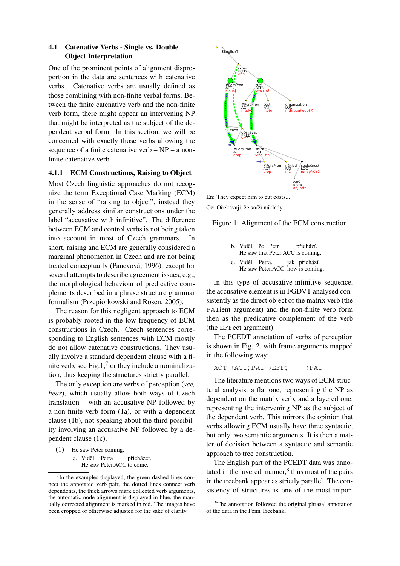## 4.1 Catenative Verbs - Single vs. Double Object Interpretation

One of the prominent points of alignment disproportion in the data are sentences with catenative verbs. Catenative verbs are usually defined as those combining with non-finite verbal forms. Between the finite catenative verb and the non-finite verb form, there might appear an intervening NP that might be interpreted as the subject of the dependent verbal form. In this section, we will be concerned with exactly those verbs allowing the sequence of a finite catenative verb – NP – a nonfinite catenative verb.

### 4.1.1 ECM Constructions, Raising to Object

Most Czech linguistic approaches do not recognize the term Exceptional Case Marking (ECM) in the sense of "raising to object", instead they generally address similar constructions under the label "accusative with infinitive". The difference between ECM and control verbs is not being taken into account in most of Czech grammars. In short, raising and ECM are generally considered a marginal phenomenon in Czech and are not being treated conceptually (Panevová, 1996), except for several attempts to describe agreement issues, e.g., the morphological behaviour of predicative complements described in a phrase structure grammar formalism (Przepiórkowski and Rosen, 2005).

The reason for this negligent approach to ECM is probably rooted in the low frequency of ECM constructions in Czech. Czech sentences corresponding to English sentences with ECM mostly do not allow catenative constructions. They usually involve a standard dependent clause with a finite verb, see Fig.1, $^7$  or they include a nominalization, thus keeping the structures strictly parallel.

The only exception are verbs of perception (*see, hear*), which usually allow both ways of Czech translation – with an accusative NP followed by a non-finite verb form (1a), or with a dependent clause (1b), not speaking about the third possibility involving an accusative NP followed by a dependent clause (1c).

(1) He saw Peter coming.

a. Viděl Petra He saw Peter.ACC to come. přicházet.



Cz: Očekávají, že sníží náklady...

Figure 1: Alignment of the ECM construction

- b. Viděl, že Petr He saw that Peter.ACC is coming. přichází.
- c. Viděl Petra, He saw Peter.ACC, how is coming. jak přichází.

In this type of accusative-infinitive sequence, the accusative element is in FGDVT analysed consistently as the direct object of the matrix verb (the PATient argument) and the non-finite verb form then as the predicative complement of the verb (the EFFect argument).

The PCEDT annotation of verbs of perception is shown in Fig. 2, with frame arguments mapped in the following way:

ACT→ACT; PAT→EFF; ---→PAT

The literature mentions two ways of ECM structural analysis, a flat one, representing the NP as dependent on the matrix verb, and a layered one, representing the intervening NP as the subject of the dependent verb. This mirrors the opinion that verbs allowing ECM usually have three syntactic, but only two semantic arguments. It is then a matter of decision between a syntactic and semantic approach to tree construction.

The English part of the PCEDT data was annotated in the layered manner, $8$  thus most of the pairs in the treebank appear as strictly parallel. The consistency of structures is one of the most impor-

 $7$ In the examples displayed, the green dashed lines connect the annotated verb pair, the dotted lines connect verb dependents, the thick arrows mark collected verb arguments, the automatic node alignment is displayed in blue, the manually corrected alignment is marked in red. The images have been cropped or otherwise adjusted for the sake of clarity.

<sup>&</sup>lt;sup>8</sup>The annotation followed the original phrasal annotation of the data in the Penn Treebank.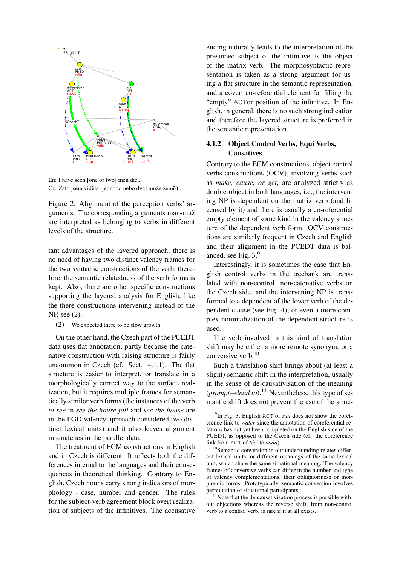

En: I have seen [one or two] men die... Cz: Zato jsem viděla [jednoho nebo dva] muže zemřít...

Figure 2: Alignment of the perception verbs' arguments. The corresponding arguments man-muž are interpreted as belonging to verbs in different levels of the structure.

tant advantages of the layered approach; there is no need of having two distinct valency frames for the two syntactic constructions of the verb, therefore, the semantic relatedness of the verb forms is kept. Also, there are other specific constructions supporting the layered analysis for English, like the there-constructions intervening instead of the NP, see (2).

(2) We expected there to be slow growth.

On the other hand, the Czech part of the PCEDT data uses flat annotation, partly because the catenative construction with raising structure is fairly uncommon in Czech (cf. Sect. 4.1.1). The flat structure is easier to interpret, or translate in a morphologically correct way to the surface realization, but it requires multiple frames for semantically similar verb forms (the instances of the verb *to see* in *see the house fall* and *see the house* are in the FGD valency approach considered two distinct lexical units) and it also leaves alignment mismatches in the parallel data.

The treatment of ECM constructions in English and in Czech is different. It reflects both the differences internal to the languages and their consequences in theoretical thinking. Contrary to English, Czech nouns carry strong indicators of morphology - case, number and gender. The rules for the subject-verb agreement block overt realization of subjects of the infinitives. The accusative ending naturally leads to the interpretation of the presumed subject of the infinitive as the object of the matrix verb. The morphosyntactic representation is taken as a strong argument for using a flat structure in the semantic representation, and a covert co-referential element for filling the "empty" ACTor position of the infinitive. In English, in general, there is no such strong indication and therefore the layered structure is preferred in the semantic representation.

## 4.1.2 Object Control Verbs, Equi Verbs, **Causatives**

Contrary to the ECM constructions, object control verbs constructions (OCV), involving verbs such as *make, cause, or get*, are analyzed strictly as double-object in both languages, i.e., the intervening NP is dependent on the matrix verb (and licensed by it) and there is usually a co-referential empty element of some kind in the valency structure of the dependent verb form. OCV constructions are similarly frequent in Czech and English and their alignment in the PCEDT data is balanced, see Fig. 3.9

Interestingly, it is sometimes the case that English control verbs in the treebank are translated with non-control, non-catenative verbs on the Czech side, and the intervening NP is transformed to a dependent of the lower verb of the dependent clause (see Fig. 4), or even a more complex nominalization of the dependent structure is used.

The verb involved in this kind of translation shift may be either a more remote synonym, or a conversive verb.<sup>10</sup>

Such a translation shift brings about (at least a slight) semantic shift in the interpretation, usually in the sense of de-causativisation of the meaning  $(prompt \rightarrow lead to).$ <sup>11</sup> Nevertheless, this type of semantic shift does not prevent the use of the struc-

 $11$ Note that the de-causativisation process is possible without objections whereas the reverse shift, from non-control verb to a control verb, is rare if it at all exists.

<sup>&</sup>lt;sup>9</sup>In Fig. 3, English ACT of *run* does not show the coreference link to *water* since the annotation of coreferential relations has not yet been completed on the English side of the PCEDT, as opposed to the Czech side (cf. the coreference link from ACT of *téci* to *voda*).

<sup>&</sup>lt;sup>10</sup>Semantic conversion in our understanding relates different lexical units, or different meanings of the same lexical unit, which share the same situational meaning. The valency frames of conversive verbs can differ in the number and type of valency complementations, their obligatoriness or morphemic forms. Prototypically, semantic conversion involves permutation of situational participants.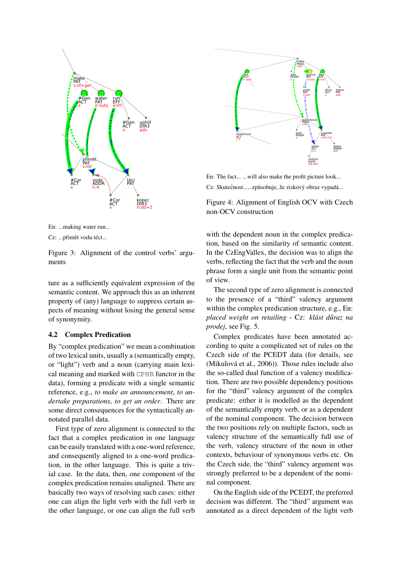



Cz: ...přimět vodu téct...

Figure 3: Alignment of the control verbs' arguments

ture as a sufficiently equivalent expression of the semantic content. We approach this as an inherent property of (any) language to suppress certain aspects of meaning without losing the general sense of synonymity.

### **4.2 Complex Predication**

By "complex predication" we mean a combination of two lexical units, usually a (semantically empty, or "light") verb and a noun (carrying main lexical meaning and marked with CPHR functor in the data), forming a predicate with a single semantic reference, e.g., to make an announcement, to undertake preparations, to get an order. There are some direct consequences for the syntactically annotated parallel data.

First type of zero alignment is connected to the fact that a complex predication in one language can be easily translated with a one-word reference, and consequently aligned to a one-word predication, in the other language. This is quite a trivial case. In the data, then, one component of the complex predication remains unaligned. There are basically two ways of resolving such cases: either one can align the light verb with the full verb in the other language, or one can align the full verb



En: The fact... ... will also make the profit picture look... Cz: Skutečnost......způsobuje, že ziskový obraz vypadá...

Figure 4: Alignment of English OCV with Czech non-OCV construction

with the dependent noun in the complex predication, based on the similarity of semantic content. In the CzEngVallex, the decision was to align the verbs, reflecting the fact that the verb and the noun phrase form a single unit from the semantic point of view.

The second type of zero alignment is connected to the presence of a "third" valency argument within the complex predication structure, e.g., En: placed weight on retailing - Cz: klást důraz na prodej, see Fig. 5.

Complex predicates have been annotated according to quite a complicated set of rules on the Czech side of the PCEDT data (for details, see (Mikulová et al., 2006)). Those rules include also the so-called dual function of a valency modification. There are two possible dependency positions for the "third" valency argument of the complex predicate: either it is modelled as the dependent of the semantically empty verb, or as a dependent of the nominal component. The decision between the two positions rely on multiple factors, such as valency structure of the semantically full use of the verb, valency structure of the noun in other contexts, behaviour of synonymous verbs etc. On the Czech side, the "third" valency argument was strongly preferred to be a dependent of the nominal component.

On the English side of the PCEDT, the preferred decision was different. The "third" argument was annotated as a direct dependent of the light verb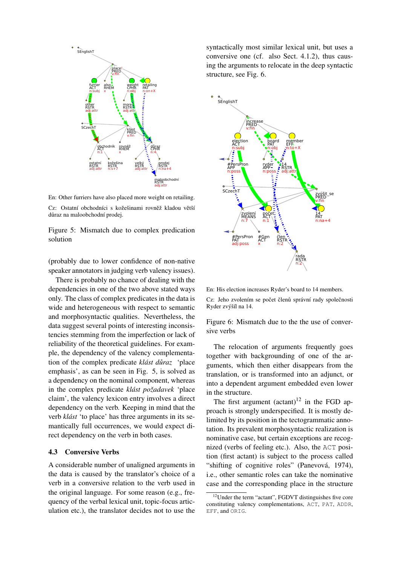

En: Other furriers have also placed more weight on retailing. Cz: Ostatní obchodníci s kožešinami rovněž kladou větší důraz na maloobchodní prodej.

Figure 5: Mismatch due to complex predication solution

(probably due to lower confidence of non-native speaker annotators in judging verb valency issues).

There is probably no chance of dealing with the dependencies in one of the two above stated ways only. The class of complex predicates in the data is wide and heterogeneous with respect to semantic and morphosyntactic qualities. Nevertheless, the data suggest several points of interesting inconsistencies stemming from the imperfection or lack of reliability of the theoretical guidelines. For example, the dependency of the valency complementation of the complex predicate *klást důraz* 'place' emphasis', as can be seen in Fig. 5, is solved as a dependency on the nominal component, whereas in the complex predicate *klást požadavek* 'place claim', the valency lexicon entry involves a direct dependency on the verb. Keeping in mind that the verb *klást* 'to place' has three arguments in its semantically full occurrences, we would expect direct dependency on the verb in both cases.

#### 4.3 Conversive Verbs

A considerable number of unaligned arguments in the data is caused by the translator's choice of a verb in a conversive relation to the verb used in the original language. For some reason (e.g., frequency of the verbal lexical unit, topic-focus articulation etc.), the translator decides not to use the

syntactically most similar lexical unit, but uses a conversive one (cf. also Sect. 4.1.2), thus causing the arguments to relocate in the deep syntactic structure, see Fig. 6.



En: His election increases Ryder's board to 14 members.

Cz: Jeho zvolením se počet členů správní rady společnosti Ryder zvýšíl na 14.

Figure 6: Mismatch due to the the use of conversive verbs

The relocation of arguments frequently goes together with backgrounding of one of the arguments, which then either disappears from the translation, or is transformed into an adjunct, or into a dependent argument embedded even lower in the structure.

The first argument  $(\text{actant})^{12}$  in the FGD approach is strongly underspecified. It is mostly delimited by its position in the tectogrammatic annotation. Its prevalent morphosyntactic realization is nominative case, but certain exceptions are recognized (verbs of feeling etc.). Also, the ACT position (first actant) is subject to the process called "shifting of cognitive roles" (Panevová, 1974), i.e., other semantic roles can take the nominative case and the corresponding place in the structure

<sup>&</sup>lt;sup>12</sup>Under the term "actant", FGDVT distinguishes five core constituting valency complementations, ACT, PAT, ADDR, EFF, and ORIG.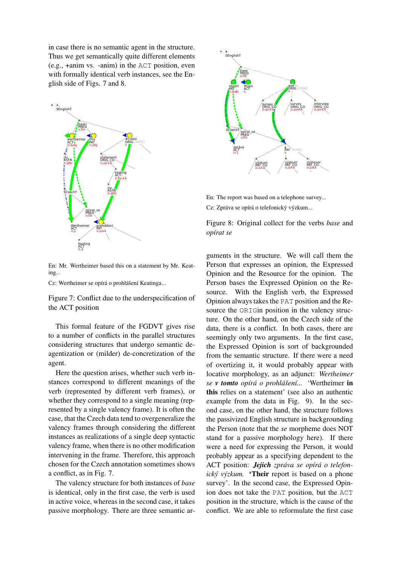in case there is no semantic agent in the structure. Thus we get semantically quite different elements (e.g., +anim vs. -anim) in the ACT position, even with formally identical verb instances, see the English side of Figs. 7 and 8.



En: Mr. Wertheimer based this on a statement by Mr. Keating...

Cz: Wertheimer se opírá o prohlášení Keatinga...

Figure 7: Conflict due to the underspecification of the ACT position

This formal feature of the FGDVT gives rise to a number of conflicts in the parallel structures considering structures that undergo semantic deagentization or (milder) de-concretization of the agent.

Here the question arises, whether such verb instances correspond to different meanings of the verb (represented by different verb frames), or whether they correspond to a single meaning (represented by a single valency frame). It is often the case, that the Czech data tend to overgeneralize the valency frames through considering the different instances as realizations of a single deep syntactic valency frame, when there is no other modification intervening in the frame. Therefore, this approach chosen for the Czech annotation sometimes shows a conflict, as in Fig. 7.

The valency structure for both instances of *base* is identical, only in the first case, the verb is used in active voice, whereas in the second case, it takes passive morphology. There are three semantic ar-



En: The report was based on a telephone survey...

Cz: Zpráva se opírá o telefonický výzkum...

Figure 8: Original collect for the verbs *base* and *opírat se*

guments in the structure. We will call them the Person that expresses an opinion, the Expressed Opinion and the Resource for the opinion. The Person bases the Expressed Opinion on the Resource. With the English verb, the Expressed Opinion always takes the PAT position and the Resource the ORIGin position in the valency structure. On the other hand, on the Czech side of the data, there is a conflict. In both cases, there are seemingly only two arguments. In the first case, the Expressed Opinion is sort of backgrounded from the semantic structure. If there were a need of overtizing it, it would probably appear with locative morphology, as an adjunct: *Wertheimer se v tomto opírá o prohlášení...* 'Wertheimer in this relies on a statement' (see also an authentic example from the data in Fig. 9). In the second case, on the other hand, the structure follows the passivized English structure in backgrounding the Person (note that the *se* morpheme does NOT stand for a passive morphology here). If there were a need for expressing the Person, it would probably appear as a specifying dependent to the ACT position: *Jejich zpráva se opírá o telefonický výzkum.* 'Their report is based on a phone survey'. In the second case, the Expressed Opinion does not take the PAT position, but the ACT position in the structure, which is the cause of the conflict. We are able to reformulate the first case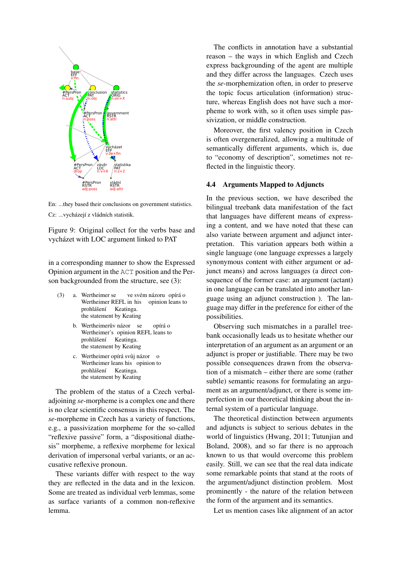

En: ...they based their conclusions on government statistics. Cz: ...vycházejí z vládních statistik.

Figure 9: Original collect for the verbs base and vycházet with LOC argument linked to PAT

in a corresponding manner to show the Expressed Opinion argument in the ACT position and the Person backgrounded from the structure, see (3):

- (3) a. Wertheimer se Wertheimer REFL in his ve svém názoru opírá o opinion leans to prohlášení Keatinga. the statement by Keating
	- b. Wertheimerův názor se Wertheimer's opinion REFL leans to opírá o prohlášení Keatinga. the statement by Keating
	- c. Wertheimer opírá svůj názor o Wertheimer leans his opinion to prohlášení Keatinga. the statement by Keating

The problem of the status of a Czech verbaladjoining *se*-morpheme is a complex one and there is no clear scientific consensus in this respect. The *se*-morpheme in Czech has a variety of functions, e.g., a passivization morpheme for the so-called "reflexive passive" form, a "dispositional diathesis" morpheme, a reflexive morpheme for lexical derivation of impersonal verbal variants, or an accusative reflexive pronoun.

These variants differ with respect to the way they are reflected in the data and in the lexicon. Some are treated as individual verb lemmas, some as surface variants of a common non-reflexive lemma.

The conflicts in annotation have a substantial reason – the ways in which English and Czech express backgrounding of the agent are multiple and they differ across the languages. Czech uses the *se*-morphemization often, in order to preserve the topic focus articulation (information) structure, whereas English does not have such a morpheme to work with, so it often uses simple passivization, or middle construction.

Moreover, the first valency position in Czech is often overgeneralized, allowing a multitude of semantically different arguments, which is, due to "economy of description", sometimes not reflected in the linguistic theory.

#### 4.4 Arguments Mapped to Adjuncts

In the previous section, we have described the bilingual treebank data manifestation of the fact that languages have different means of expressing a content, and we have noted that these can also variate between argument and adjunct interpretation. This variation appears both within a single language (one language expresses a largely synonymous content with either argument or adjunct means) and across languages (a direct consequence of the former case: an argument (actant) in one language can be translated into another language using an adjunct construction ). The language may differ in the preference for either of the possibilities.

Observing such mismatches in a parallel treebank occasionally leads us to hesitate whether our interpretation of an argument as an argument or an adjunct is proper or justifiable. There may be two possible consequences drawn from the observation of a mismatch – either there are some (rather subtle) semantic reasons for formulating an argument as an argument/adjunct, or there is some imperfection in our theoretical thinking about the internal system of a particular language.

The theoretical distinction between arguments and adjuncts is subject to serious debates in the world of linguistics (Hwang, 2011; Tutunjian and Boland, 2008), and so far there is no approach known to us that would overcome this problem easily. Still, we can see that the real data indicate some remarkable points that stand at the roots of the argument/adjunct distinction problem. Most prominently - the nature of the relation between the form of the argument and its semantics.

Let us mention cases like alignment of an actor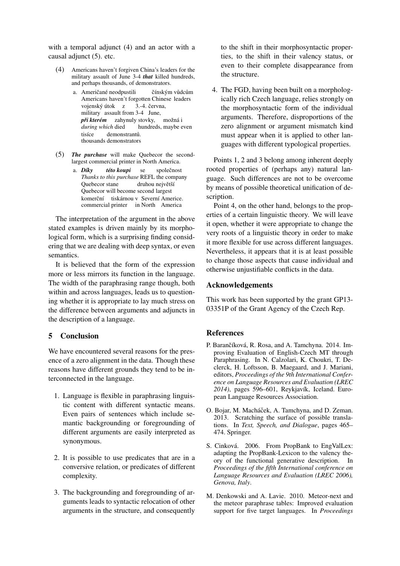with a temporal adjunct (4) and an actor with a causal adjunct (5), etc.

- $(4)$ Americans haven't forgiven China's leaders for the military assault of June 3-4 that killed hundreds, and perhaps thousands, of demonstrators.
	- a. Američané neodpustili čínským vůdcům Americans haven't forgotten Chinese leaders vojenský útok z 3.-4. června, military assault from 3-4 June, *při kterém* zahynuly stovky, možná i during which died hundreds, maybe even tisíce demonstrantů. thousands demonstrators
- (5) The purchase will make Quebecor the secondlargest commercial printer in North America.
	- a. Díkv této koupi se společnost Thanks to this purchase REFL the company Quebecor stane druhou největší Quebecor will become second largest komerční tiskárnou v Severní Americe. commercial printer in North America

The interpretation of the argument in the above stated examples is driven mainly by its morphological form, which is a surprising finding considering that we are dealing with deep syntax, or even semantics

It is believed that the form of the expression more or less mirrors its function in the language. The width of the paraphrasing range though, both within and across languages, leads us to questioning whether it is appropriate to lay much stress on the difference between arguments and adjuncts in the description of a language.

# 5 Conclusion

We have encountered several reasons for the presence of a zero alignment in the data. Though these reasons have different grounds they tend to be interconnected in the language.

- 1. Language is flexible in paraphrasing linguistic content with different syntactic means. Even pairs of sentences which include semantic backgrounding or foregrounding of different arguments are easily interpreted as synonymous.
- 2. It is possible to use predicates that are in a conversive relation, or predicates of different complexity.
- 3. The backgrounding and foregrounding of arguments leads to syntactic relocation of other arguments in the structure, and consequently

to the shift in their morphosyntactic properties, to the shift in their valency status, or even to their complete disappearance from the structure.

4. The FGD, having been built on a morphologically rich Czech language, relies strongly on the morphosyntactic form of the individual arguments. Therefore, disproportions of the zero alignment or argument mismatch kind must appear when it is applied to other languages with different typological properties.

Points 1, 2 and 3 belong among inherent deeply rooted properties of (perhaps any) natural language. Such differences are not to be overcome by means of possible theoretical unification of description.

Point 4, on the other hand, belongs to the properties of a certain linguistic theory. We will leave it open, whether it were appropriate to change the very roots of a linguistic theory in order to make it more flexible for use across different languages. Nevertheless, it appears that it is at least possible to change those aspects that cause individual and otherwise uniustifiable conflicts in the data.

## **Acknowledgements**

This work has been supported by the grant GP13-03351P of the Grant Agency of the Czech Rep.

### **References**

- P. Barančíková, R. Rosa, and A. Tamchyna, 2014. Improving Evaluation of English-Czech MT through Paraphrasing. In N. Calzolari, K. Choukri, T. Declerck, H. Loftsson, B. Maegaard, and J. Mariani, editors, Proceedings of the 9th International Conference on Language Resources and Evaluation (LREC 2014), pages 596-601, Reykjavík, Iceland. European Language Resources Association.
- O. Bojar, M. Macháček, A. Tamchyna, and D. Zeman. 2013. Scratching the surface of possible translations. In Text, Speech, and Dialogue, pages 465-474. Springer.
- S. Cinková. 2006. From PropBank to EngValLex: adapting the PropBank-Lexicon to the valency theory of the functional generative description. In Proceedings of the fifth International conference on Language Resources and Evaluation (LREC 2006). Genova, Italy.
- M. Denkowski and A. Lavie. 2010. Meteor-next and the meteor paraphrase tables: Improved evaluation support for five target languages. In Proceedings